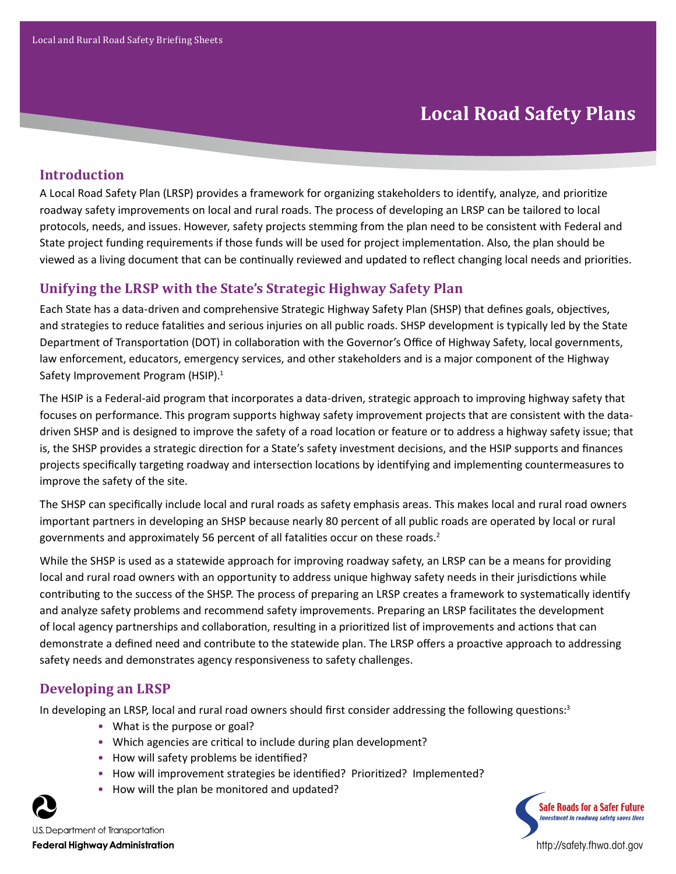# **Local Road Safety Plans**

# **Introduction**

A Local Road Safety Plan (LRSP) provides a framework for organizing stakeholders to identify, analyze, and prioritize roadway safety improvements on local and rural roads. The process of developing an LRSP can be tailored to local protocols, needs, and issues. However, safety projects stemming from the plan need to be consistent with Federal and State project funding requirements if those funds will be used for project implementation. Also, the plan should be viewed as a living document that can be continually reviewed and updated to reflect changing local needs and priorities.

# **Unifying the LRSP with the State's Strategic Highway Safety Plan**

Each State has a data-driven and comprehensive Strategic Highway Safety Plan (SHSP) that defines goals, objectives, and strategies to reduce fatalities and serious injuries on all public roads. SHSP development is typically led by the State Department of Transportation (DOT) in collaboration with the Governor's Office of Highway Safety, local governments, law enforcement, educators, emergency services, and other stakeholders and is a major component of the Highway Safety Improvement Program (HSIP).<sup>1</sup>

The HSIP is a Federal-aid program that incorporates a data-driven, strategic approach to improving highway safety that focuses on performance. This program supports highway safety improvement projects that are consistent with the datadriven SHSP and is designed to improve the safety of a road location or feature or to address a highway safety issue; that is, the SHSP provides a strategic direction for a State's safety investment decisions, and the HSIP supports and finances projects specifically targeting roadway and intersection locations by identifying and implementing countermeasures to improve the safety of the site.

The SHSP can specifically include local and rural roads as safety emphasis areas. This makes local and rural road owners important partners in developing an SHSP because nearly 80 percent of all public roads are operated by local or rural governments and approximately 56 percent of all fatalities occur on these roads.<sup>2</sup>

While the SHSP is used as a statewide approach for improving roadway safety, an LRSP can be a means for providing local and rural road owners with an opportunity to address unique highway safety needs in their jurisdictions while contributing to the success of the SHSP. The process of preparing an LRSP creates a framework to systematically identify and analyze safety problems and recommend safety improvements. Preparing an LRSP facilitates the development of local agency partnerships and collaboration, resulting in a prioritized list of improvements and actions that can demonstrate a defined need and contribute to the statewide plan. The LRSP offers a proactive approach to addressing safety needs and demonstrates agency responsiveness to safety challenges.

# **Developing an LRSP**

In developing an LRSP, local and rural road owners should first consider addressing the following questions:<sup>3</sup>

- What is the purpose or goal?
- Which agencies are critical to include during plan development?
- How will safety problems be identified?
- How will improvement strategies be identified? Prioritized? Implemented?
- How will the plan be monitored and updated?



U.S. Department of Transportation **Federal Highway Administration** 



http://safety.fhwa.dot.gov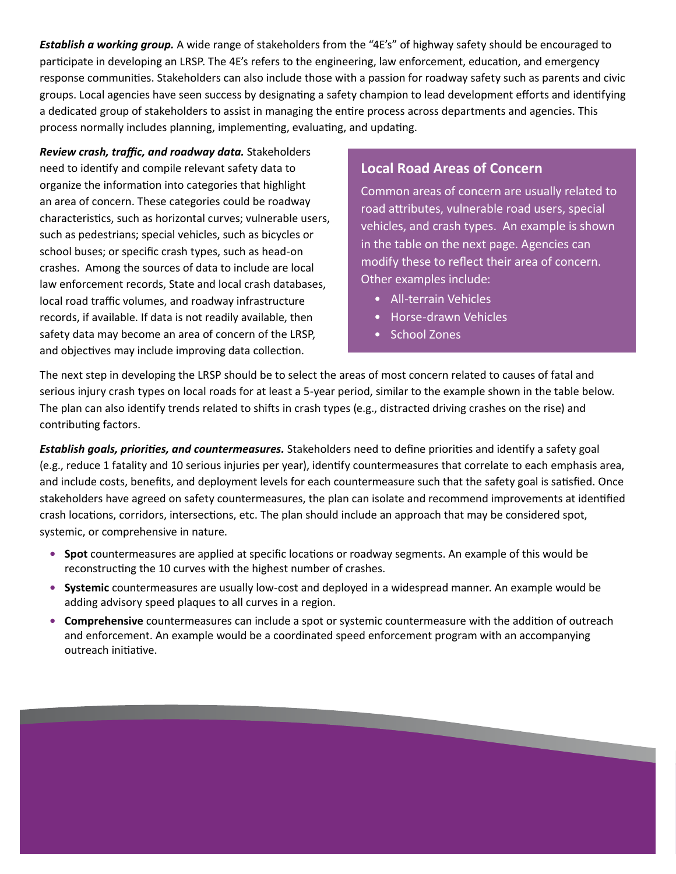*Establish a working group.* A wide range of stakeholders from the "4E's" of highway safety should be encouraged to participate in developing an LRSP. The 4E's refers to the engineering, law enforcement, education, and emergency response communities. Stakeholders can also include those with a passion for roadway safety such as parents and civic groups. Local agencies have seen success by designating a safety champion to lead development efforts and identifying a dedicated group of stakeholders to assist in managing the entire process across departments and agencies. This process normally includes planning, implementing, evaluating, and updating.

*Review crash, traffic, and roadway data.* Stakeholders need to identify and compile relevant safety data to organize the information into categories that highlight an area of concern. These categories could be roadway characteristics, such as horizontal curves; vulnerable users, such as pedestrians; special vehicles, such as bicycles or school buses; or specific crash types, such as head-on crashes. Among the sources of data to include are local law enforcement records, State and local crash databases, local road traffic volumes, and roadway infrastructure records, if available. If data is not readily available, then safety data may become an area of concern of the LRSP, and objectives may include improving data collection.

### **Local Road Areas of Concern**

Common areas of concern are usually related to road attributes, vulnerable road users, special vehicles, and crash types. An example is shown in the table on the next page. Agencies can modify these to reflect their area of concern. Other examples include:

- All-terrain Vehicles
- Horse-drawn Vehicles
- School Zones

The next step in developing the LRSP should be to select the areas of most concern related to causes of fatal and serious injury crash types on local roads for at least a 5-year period, similar to the example shown in the table below. The plan can also identify trends related to shifts in crash types (e.g., distracted driving crashes on the rise) and contributing factors.

*Establish goals, priorities, and countermeasures.* Stakeholders need to define priorities and identify a safety goal (e.g., reduce 1 fatality and 10 serious injuries per year), identify countermeasures that correlate to each emphasis area, and include costs, benefits, and deployment levels for each countermeasure such that the safety goal is satisfied. Once stakeholders have agreed on safety countermeasures, the plan can isolate and recommend improvements at identified crash locations, corridors, intersections, etc. The plan should include an approach that may be considered spot, systemic, or comprehensive in nature.

- **• Spot** countermeasures are applied at specific locations or roadway segments. An example of this would be reconstructing the 10 curves with the highest number of crashes.
- **• Systemic** countermeasures are usually low-cost and deployed in a widespread manner. An example would be adding advisory speed plaques to all curves in a region.
- **• Comprehensive** countermeasures can include a spot or systemic countermeasure with the addition of outreach and enforcement. An example would be a coordinated speed enforcement program with an accompanying outreach initiative.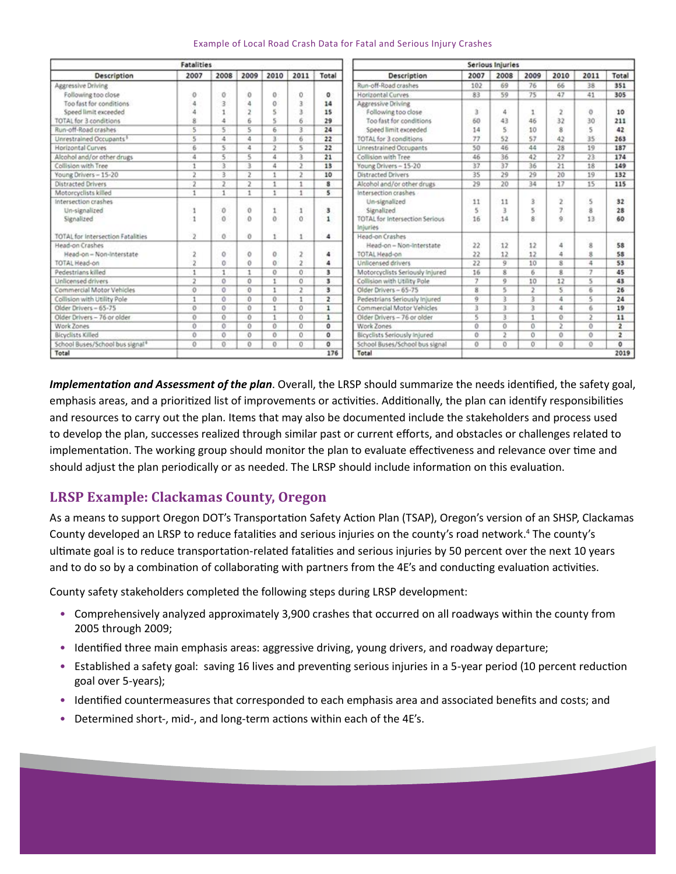| <b>Fatalities</b>                           |                         |                 |                     |                 |                |                | Serious Injuries                                         |          |                |      |                    |                         |                         |
|---------------------------------------------|-------------------------|-----------------|---------------------|-----------------|----------------|----------------|----------------------------------------------------------|----------|----------------|------|--------------------|-------------------------|-------------------------|
| Description                                 | 2007                    | 2008            | 2009                | 2010            | 2011           | Total          | Description                                              | 2007     | 2008           | 2009 | 2010               | 2011                    | Total                   |
| Aggressive Driving                          |                         |                 |                     |                 |                |                | Run-off-Road crashes                                     | 102      | 69             | 76   | 66                 | 38                      | 351                     |
| Following too close                         | $\theta$                | 0               | o                   | $\Omega$        | ũ              | o              | Horizontal Curves                                        | 83       | 59             | 75   | 47                 | 41                      | 305                     |
| Too fast for conditions                     |                         | 3               |                     | 0               | Ř              | 14             | Azeressive Driving                                       |          |                |      |                    |                         |                         |
| Speed limit exceeded                        |                         |                 |                     |                 | š              | 15             | Following too close                                      | 3        | 4              |      |                    | $\theta$                | 10                      |
| <b>TOTAL</b> for 3 conditions               | 8                       | 4               |                     |                 | 6              | 29             | Too fast for conditions                                  | 60       | 43             | 46   | 32                 | 30                      | 211                     |
| Run-off-Road crashes                        | 5                       | 5               | 5                   | 6               | R              | 24             | Speed limit exceeded                                     | 14       | 5              | 10   | $\dot{\mathbf{x}}$ |                         | 42                      |
| Unrestrained Occupants <sup>1</sup>         | 5                       | 4               | 4                   | з               | 6              | 22             | TOTAL for 3 conditions                                   | 77       | 52             | 57   | 42                 | 35                      | 263                     |
| Horizontal Curves                           | 6                       | 5.              | 4                   | э               | 5              | 22             | Unrestrained Occupants                                   | 50       | 46             | 44   | 28                 | 19                      | 187                     |
| Alcohol and/or other drugs                  | 4                       | 5               | 5.                  | 4               | з              | 21             | Collision with Tree                                      | 46       | 36             | 42   | 27                 | $23 -$                  | 174                     |
| Collision with Tree                         | $\mathbf{1}$            | 3               | 3                   | 4               | $\mathbf{2}$   | 13             | Young Drivers - 15-20                                    | 37       | 37             | 36   | 21                 | 18                      | 149                     |
| Young Drivers - 15-20                       | 2                       | $\overline{3}$  | 2                   |                 | ,              | 10             | <b>Distracted Drivers</b>                                | 35       | 29             | 29   | 20                 | 19                      | 132                     |
| Distracted Drivers                          | 2                       | $^{2}$          | 2                   |                 | 1              | 8              | Alcohol and/or other drugs                               | 29       | 20             | 34   | 17                 | 15                      | 115                     |
| Motorcyclists killed                        | $\mathbf{1}$            | 1               | ÷                   | t.              | t.             | s              | Intersection crashes                                     |          |                |      |                    |                         |                         |
| Intersection crashes                        |                         |                 |                     |                 |                |                | Un-signalized                                            | 11       | 11             |      |                    |                         | 32                      |
| Un-signalized                               |                         | 0               | O                   |                 | 1              | 3              | Signalized                                               | š        | 3              | 5    |                    |                         | 28                      |
| Signalized                                  | $\mathbf{1}$            | $\circ$         | ö                   | $\ddot{\rm{o}}$ | Ŭ              | 1              | <b>TOTAL for Intersection Serious</b><br><b>Injuries</b> | 16       | 14             | 8    | q                  | 13                      | 60                      |
| <b>TOTAL for Intersection Fatalities</b>    | $\overline{\mathbf{2}}$ | O.              | ō                   |                 | 1              | 4              | Head-on Crashes                                          |          |                |      |                    |                         |                         |
| Head-on Crashes                             |                         |                 |                     |                 |                |                | Head-on - Non-Interstate                                 | 22       | 12             | 12   | 4                  | $\mathbf{g}$            | 58                      |
| Head-on - Non-Interstate                    | 2                       | $\circ$         | 0                   | 0               | 2              | 4              | TOTAL Head-on                                            | 22       | 12             | 12   | 4                  | $\overline{\mathbf{g}}$ | 58                      |
| <b>TOTAL Head-on</b>                        | ż                       | $\Omega$        | o                   | 0               | $\overline{2}$ | 4              | Unlicensed drivers                                       | 22       | q.             | 10   | 8                  | 4                       | 53                      |
| Pedestrians killed                          | $\mathbf{1}$            | 1               | 1                   | $\sigma$        | O.             | 3              | Motorcyclists Seriously Injured                          | 16       | 8              | 6    | 8                  | y                       | 45                      |
| Unlicensed drivers                          | $\overline{\mathbf{z}}$ | $^{\circ}$      | o                   |                 | 0              | з              | Collision with Utility Pole                              | π        | 9              | 10   | 12                 | к                       | 43                      |
| Commercial Motor Vehicles                   | $\ddot{\mathbf{0}}$     | 0               | o                   | ٠               | 2              | з              | Older Drivers - 65-75                                    | 8        | 5              | -5   | 5                  | £.                      | 26                      |
| Collision with Utility Pole                 | $\mathbf{1}$            | $\circ$         | O                   | 0               | 1              | $\overline{2}$ | Pedestrians Seriously Inlured                            | ğ.       | 主              | 3    | 4                  | 5                       | 24                      |
| Older Drivers - 65-75                       | $\theta$                | $\mathbf{0}$    | $\ddot{\mathbf{0}}$ | ٠               | ō              | $\mathbf{1}$   | Commercial Motor Vehicles                                | 3        | 3              | з    | Δ                  | 6                       | 19                      |
| Older Drivers - 76 or older                 | $\ddot{\rm{o}}$         | $\ddot{\rm{o}}$ | 0                   | ٠               | Ō.             | $\mathbf{1}$   | Older Drivers - 76 or older                              | 5        | R.             | ٠    | $\alpha$           | $\mathcal{I}$           | 11                      |
| Work Zones                                  | $\ddot{\mathbf{0}}$     | $\theta$        | 0                   | 0               | Ű.             | ō              | Work Zones                                               | 0        | 0              | Ü.   | 2                  | $\Omega$                | $\overline{\mathbf{z}}$ |
| Bicyclists Killed                           | $\theta$                | $\circ$         | o                   | $\alpha$        | Ü.             | $\circ$        | Bicyclists Seriously Injured                             | $\alpha$ | $\overline{2}$ | ō    | O.                 | $\alpha$                | $\overline{2}$          |
| School Buses/School bus signal <sup>4</sup> | $\alpha$                | 0               | $\Omega$            | $\theta$        | 0              | ٥              | School Buses/School bus signal                           | $\Omega$ | $\alpha$       | o    | $\Omega$           | $\Omega$                | $^{\circ}$              |
| 176<br>Total                                |                         |                 |                     |                 |                |                | Total                                                    | 2019     |                |      |                    |                         |                         |

#### Example of Local Road Crash Data for Fatal and Serious Injury Crashes

*Implementation and Assessment of the plan*. Overall, the LRSP should summarize the needs identified, the safety goal, emphasis areas, and a prioritized list of improvements or activities. Additionally, the plan can identify responsibilities and resources to carry out the plan. Items that may also be documented include the stakeholders and process used to develop the plan, successes realized through similar past or current efforts, and obstacles or challenges related to implementation. The working group should monitor the plan to evaluate effectiveness and relevance over time and should adjust the plan periodically or as needed. The LRSP should include information on this evaluation.

# **LRSP Example: Clackamas County, Oregon**

As a means to support Oregon DOT's Transportation Safety Action Plan (TSAP), Oregon's version of an SHSP, Clackamas County developed an LRSP to reduce fatalities and serious injuries on the county's road network.<sup>4</sup> The county's ultimate goal is to reduce transportation-related fatalities and serious injuries by 50 percent over the next 10 years and to do so by a combination of collaborating with partners from the 4E's and conducting evaluation activities.

County safety stakeholders completed the following steps during LRSP development:

- Comprehensively analyzed approximately 3,900 crashes that occurred on all roadways within the county from 2005 through 2009;
- Identified three main emphasis areas: aggressive driving, young drivers, and roadway departure;
- Established a safety goal: saving 16 lives and preventing serious injuries in a 5-year period (10 percent reduction goal over 5-years);
- Identified countermeasures that corresponded to each emphasis area and associated benefits and costs; and
- Determined short-, mid-, and long-term actions within each of the 4E's.